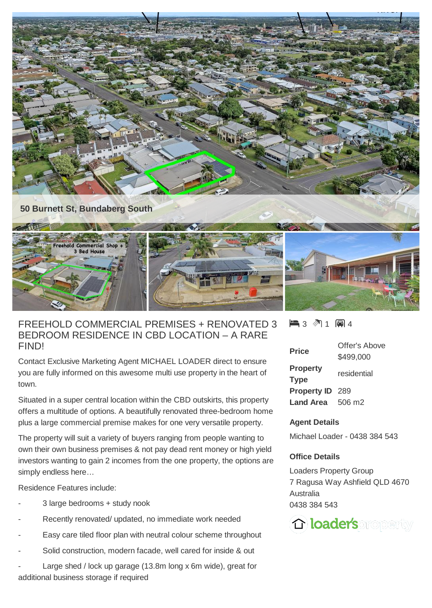

## FREEHOLD COMMERCIAL PREMISES + RENOVATED 3 BEDROOM RESIDENCE IN CBD LOCATION – A RARE FIND!

Contact Exclusive Marketing Agent MICHAEL LOADER direct to ensure you are fully informed on this awesome multi use property in the heart of town.

Situated in a super central location within the CBD outskirts, this property offers a multitude of options. A beautifully renovated three-bedroom home plus a large commercial premise makes for one very versatile property.

The property will suit a variety of buyers ranging from people wanting to own their own business premises & not pay dead rent money or high yield investors wanting to gain 2 incomes from the one property, the options are simply endless here…

Residence Features include:

- 3 large bedrooms + study nook
- Recently renovated/ updated, no immediate work needed
- Easy care tiled floor plan with neutral colour scheme throughout
- Solid construction, modern facade, well cared for inside & out

Large shed / lock up garage  $(13.8m)$  long x 6m wide), great for additional business storage if required

 $\blacksquare$  3  $\spadesuit$  1  $\blacksquare$  4

| <b>Price</b>            | Offer's Above |
|-------------------------|---------------|
|                         | \$499,000     |
| <b>Property</b>         | residential   |
| <b>Type</b>             |               |
| <b>Property ID 289</b>  |               |
| <b>Land Area</b> 506 m2 |               |

## **Agent Details**

Michael Loader - 0438 384 543

## **Office Details**

Loaders Property Group 7 Ragusa Way Ashfield QLD 4670 Australia 0438 384 543

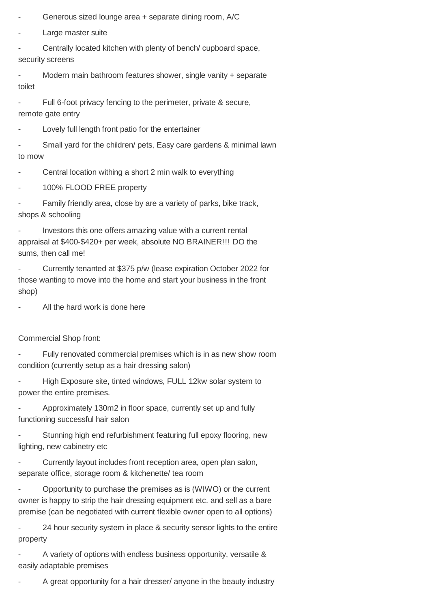Generous sized lounge area + separate dining room, A/C

Large master suite

Centrally located kitchen with plenty of bench/ cupboard space, security screens

Modern main bathroom features shower, single vanity + separate toilet

Full 6-foot privacy fencing to the perimeter, private & secure, remote gate entry

Lovely full length front patio for the entertainer

Small yard for the children/ pets, Easy care gardens & minimal lawn to mow

Central location withing a short 2 min walk to everything

100% FLOOD FREE property

Family friendly area, close by are a variety of parks, bike track, shops & schooling

Investors this one offers amazing value with a current rental appraisal at \$400-\$420+ per week, absolute NO BRAINER!!! DO the sums, then call me!

- Currently tenanted at \$375 p/w (lease expiration October 2022 for those wanting to move into the home and start your business in the front shop)

All the hard work is done here

Commercial Shop front:

Fully renovated commercial premises which is in as new show room condition (currently setup as a hair dressing salon)

High Exposure site, tinted windows, FULL 12kw solar system to power the entire premises.

- Approximately 130m2 in floor space, currently set up and fully functioning successful hair salon

Stunning high end refurbishment featuring full epoxy flooring, new lighting, new cabinetry etc

Currently layout includes front reception area, open plan salon, separate office, storage room & kitchenette/ tea room

- Opportunity to purchase the premises as is (WIWO) or the current owner is happy to strip the hair dressing equipment etc. and sell as a bare premise (can be negotiated with current flexible owner open to all options)

- 24 hour security system in place & security sensor lights to the entire property

A variety of options with endless business opportunity, versatile & easily adaptable premises

A great opportunity for a hair dresser/ anyone in the beauty industry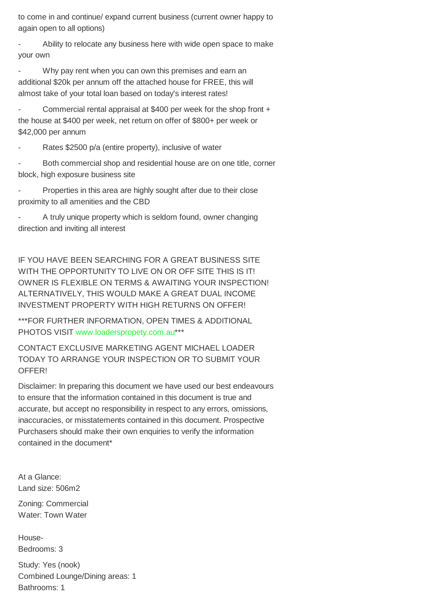to come in and continue/ expand current business (current owner happy to again open to all options)

Ability to relocate any business here with wide open space to make your own

Why pay rent when you can own this premises and earn an additional \$20k per annum off the attached house for FREE, this will almost take of your total loan based on today's interest rates!

Commercial rental appraisal at \$400 per week for the shop front + the house at \$400 per week, net return on offer of \$800+ per week or \$42,000 per annum

Rates \$2500 p/a (entire property), inclusive of water

Both commercial shop and residential house are on one title, corner block, high exposure business site

Properties in this area are highly sought after due to their close proximity to all amenities and the CBD

A truly unique property which is seldom found, owner changing direction and inviting all interest

IF YOU HAVE BEEN SEARCHING FOR A GREAT BUSINESS SITE WITH THE OPPORTUNITY TO LIVE ON OR OFF SITE THIS IS IT! OWNER IS FLEXIBLE ON TERMS & AWAITING YOUR INSPECTION! ALTERNATIVELY, THIS WOULD MAKE A GREAT DUAL INCOME INVESTMENT PROPERTY WITH HIGH RETURNS ON OFFER!

\*\*\*FOR FURTHER INFORMATION, OPEN TIMES & ADDITIONAL PHOTOS VISIT [www.loaderspropety.com.au\\*](http://www.loaderspropety.com.au/)\*\*

CONTACT EXCLUSIVE MARKETING AGENT MICHAEL LOADER TODAY TO ARRANGE YOUR INSPECTION OR TO SUBMIT YOUR OFFER!

Disclaimer: In preparing this document we have used our best endeavours to ensure that the information contained in this document is true and accurate, but accept no responsibility in respect to any errors, omissions, inaccuracies, or misstatements contained in this document. Prospective Purchasers should make their own enquiries to verify the information contained in the document\*

At a Glance: Land size: 506m2

Zoning: Commercial Water: Town Water

House-Bedrooms: 3

Study: Yes (nook) Combined Lounge/Dining areas: 1 Bathrooms: 1